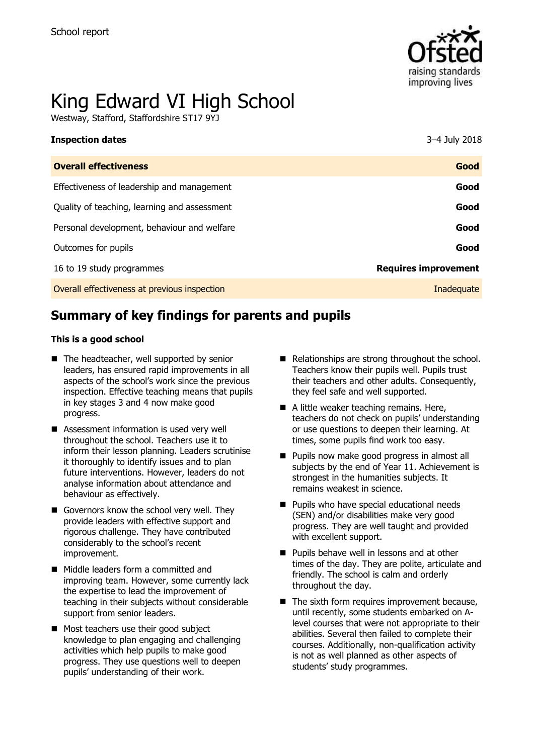

# King Edward VI High School

Westway, Stafford, Staffordshire ST17 9YJ

| <b>Inspection dates</b>                      | 3–4 July 2018               |
|----------------------------------------------|-----------------------------|
| <b>Overall effectiveness</b>                 | Good                        |
| Effectiveness of leadership and management   | Good                        |
| Quality of teaching, learning and assessment | Good                        |
| Personal development, behaviour and welfare  | Good                        |
| Outcomes for pupils                          | Good                        |
| 16 to 19 study programmes                    | <b>Requires improvement</b> |
| Overall effectiveness at previous inspection | Inadequate                  |

# **Summary of key findings for parents and pupils**

#### **This is a good school**

- The headteacher, well supported by senior leaders, has ensured rapid improvements in all aspects of the school's work since the previous inspection. Effective teaching means that pupils in key stages 3 and 4 now make good progress.
- Assessment information is used very well throughout the school. Teachers use it to inform their lesson planning. Leaders scrutinise it thoroughly to identify issues and to plan future interventions. However, leaders do not analyse information about attendance and behaviour as effectively.
- Governors know the school very well. They provide leaders with effective support and rigorous challenge. They have contributed considerably to the school's recent improvement.
- Middle leaders form a committed and improving team. However, some currently lack the expertise to lead the improvement of teaching in their subjects without considerable support from senior leaders.
- Most teachers use their good subject knowledge to plan engaging and challenging activities which help pupils to make good progress. They use questions well to deepen pupils' understanding of their work.
- Relationships are strong throughout the school. Teachers know their pupils well. Pupils trust their teachers and other adults. Consequently, they feel safe and well supported.
- A little weaker teaching remains. Here, teachers do not check on pupils' understanding or use questions to deepen their learning. At times, some pupils find work too easy.
- **Pupils now make good progress in almost all** subjects by the end of Year 11. Achievement is strongest in the humanities subjects. It remains weakest in science.
- **Pupils who have special educational needs** (SEN) and/or disabilities make very good progress. They are well taught and provided with excellent support.
- $\blacksquare$  Pupils behave well in lessons and at other times of the day. They are polite, articulate and friendly. The school is calm and orderly throughout the day.
- $\blacksquare$  The sixth form requires improvement because, until recently, some students embarked on Alevel courses that were not appropriate to their abilities. Several then failed to complete their courses. Additionally, non-qualification activity is not as well planned as other aspects of students' study programmes.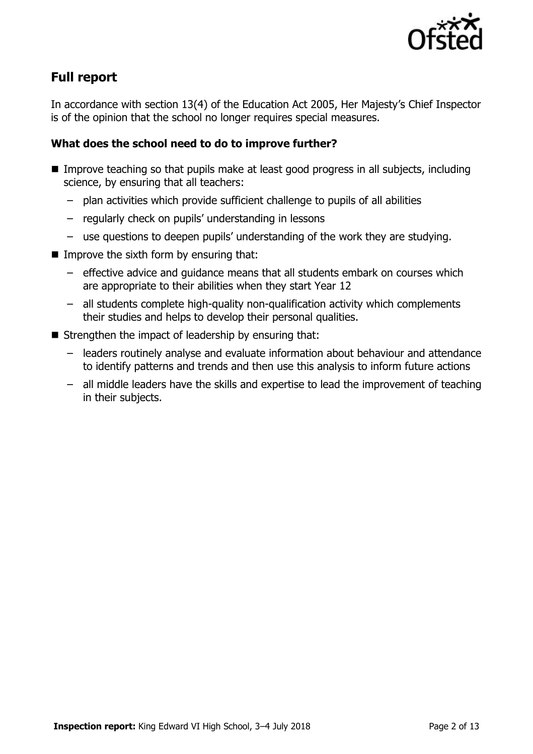

# **Full report**

In accordance with section 13(4) of the Education Act 2005, Her Majesty's Chief Inspector is of the opinion that the school no longer requires special measures.

### **What does the school need to do to improve further?**

- **IMPROVE THAT Improve teaching so that pupils make at least good progress in all subjects, including** science, by ensuring that all teachers:
	- plan activities which provide sufficient challenge to pupils of all abilities
	- regularly check on pupils' understanding in lessons
	- use questions to deepen pupils' understanding of the work they are studying.
- $\blacksquare$  Improve the sixth form by ensuring that:
	- effective advice and guidance means that all students embark on courses which are appropriate to their abilities when they start Year 12
	- all students complete high-quality non-qualification activity which complements their studies and helps to develop their personal qualities.
- $\blacksquare$  Strengthen the impact of leadership by ensuring that:
	- leaders routinely analyse and evaluate information about behaviour and attendance to identify patterns and trends and then use this analysis to inform future actions
	- all middle leaders have the skills and expertise to lead the improvement of teaching in their subjects.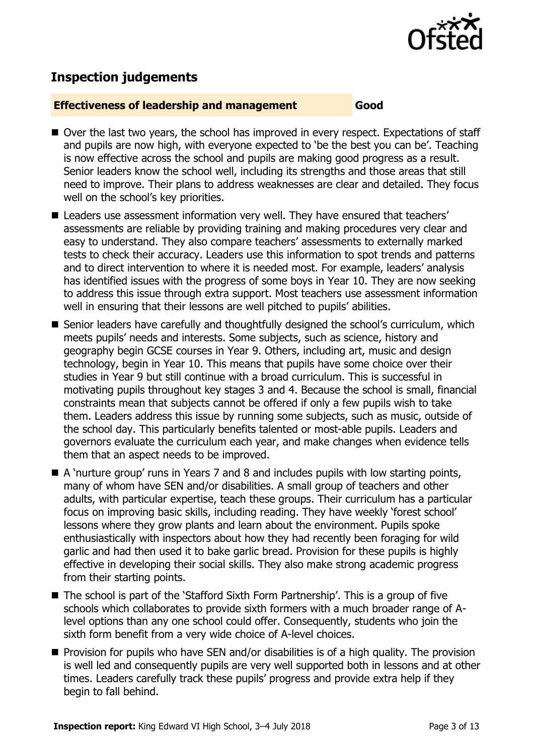

# **Inspection judgements**

#### **Effectiveness of leadership and management Good**

- Over the last two vears, the school has improved in every respect. Expectations of staff and pupils are now high, with everyone expected to 'be the best you can be'. Teaching is now effective across the school and pupils are making good progress as a result. Senior leaders know the school well, including its strengths and those areas that still need to improve. Their plans to address weaknesses are clear and detailed. They focus well on the school's key priorities.
- Leaders use assessment information very well. They have ensured that teachers' assessments are reliable by providing training and making procedures very clear and easy to understand. They also compare teachers' assessments to externally marked tests to check their accuracy. Leaders use this information to spot trends and patterns and to direct intervention to where it is needed most. For example, leaders' analysis has identified issues with the progress of some boys in Year 10. They are now seeking to address this issue through extra support. Most teachers use assessment information well in ensuring that their lessons are well pitched to pupils' abilities.
- Senior leaders have carefully and thoughtfully designed the school's curriculum, which meets pupils' needs and interests. Some subjects, such as science, history and geography begin GCSE courses in Year 9. Others, including art, music and design technology, begin in Year 10. This means that pupils have some choice over their studies in Year 9 but still continue with a broad curriculum. This is successful in motivating pupils throughout key stages 3 and 4. Because the school is small, financial constraints mean that subjects cannot be offered if only a few pupils wish to take them. Leaders address this issue by running some subjects, such as music, outside of the school day. This particularly benefits talented or most-able pupils. Leaders and governors evaluate the curriculum each year, and make changes when evidence tells them that an aspect needs to be improved.
- A 'nurture group' runs in Years 7 and 8 and includes pupils with low starting points, many of whom have SEN and/or disabilities. A small group of teachers and other adults, with particular expertise, teach these groups. Their curriculum has a particular focus on improving basic skills, including reading. They have weekly 'forest school' lessons where they grow plants and learn about the environment. Pupils spoke enthusiastically with inspectors about how they had recently been foraging for wild garlic and had then used it to bake garlic bread. Provision for these pupils is highly effective in developing their social skills. They also make strong academic progress from their starting points.
- The school is part of the 'Stafford Sixth Form Partnership'. This is a group of five schools which collaborates to provide sixth formers with a much broader range of Alevel options than any one school could offer. Consequently, students who join the sixth form benefit from a very wide choice of A-level choices.
- **Provision for pupils who have SEN and/or disabilities is of a high quality. The provision** is well led and consequently pupils are very well supported both in lessons and at other times. Leaders carefully track these pupils' progress and provide extra help if they begin to fall behind.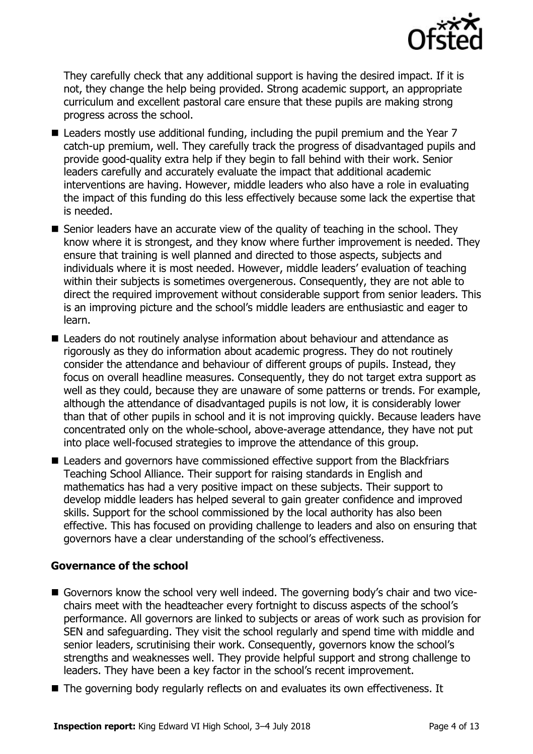

They carefully check that any additional support is having the desired impact. If it is not, they change the help being provided. Strong academic support, an appropriate curriculum and excellent pastoral care ensure that these pupils are making strong progress across the school.

- **E** Leaders mostly use additional funding, including the pupil premium and the Year  $7$ catch-up premium, well. They carefully track the progress of disadvantaged pupils and provide good-quality extra help if they begin to fall behind with their work. Senior leaders carefully and accurately evaluate the impact that additional academic interventions are having. However, middle leaders who also have a role in evaluating the impact of this funding do this less effectively because some lack the expertise that is needed.
- Senior leaders have an accurate view of the quality of teaching in the school. They know where it is strongest, and they know where further improvement is needed. They ensure that training is well planned and directed to those aspects, subjects and individuals where it is most needed. However, middle leaders' evaluation of teaching within their subjects is sometimes overgenerous. Consequently, they are not able to direct the required improvement without considerable support from senior leaders. This is an improving picture and the school's middle leaders are enthusiastic and eager to learn.
- Leaders do not routinely analyse information about behaviour and attendance as rigorously as they do information about academic progress. They do not routinely consider the attendance and behaviour of different groups of pupils. Instead, they focus on overall headline measures. Consequently, they do not target extra support as well as they could, because they are unaware of some patterns or trends. For example, although the attendance of disadvantaged pupils is not low, it is considerably lower than that of other pupils in school and it is not improving quickly. Because leaders have concentrated only on the whole-school, above-average attendance, they have not put into place well-focused strategies to improve the attendance of this group.
- Leaders and governors have commissioned effective support from the Blackfriars Teaching School Alliance. Their support for raising standards in English and mathematics has had a very positive impact on these subjects. Their support to develop middle leaders has helped several to gain greater confidence and improved skills. Support for the school commissioned by the local authority has also been effective. This has focused on providing challenge to leaders and also on ensuring that governors have a clear understanding of the school's effectiveness.

#### **Governance of the school**

- Governors know the school very well indeed. The governing body's chair and two vicechairs meet with the headteacher every fortnight to discuss aspects of the school's performance. All governors are linked to subjects or areas of work such as provision for SEN and safeguarding. They visit the school regularly and spend time with middle and senior leaders, scrutinising their work. Consequently, governors know the school's strengths and weaknesses well. They provide helpful support and strong challenge to leaders. They have been a key factor in the school's recent improvement.
- The governing body regularly reflects on and evaluates its own effectiveness. It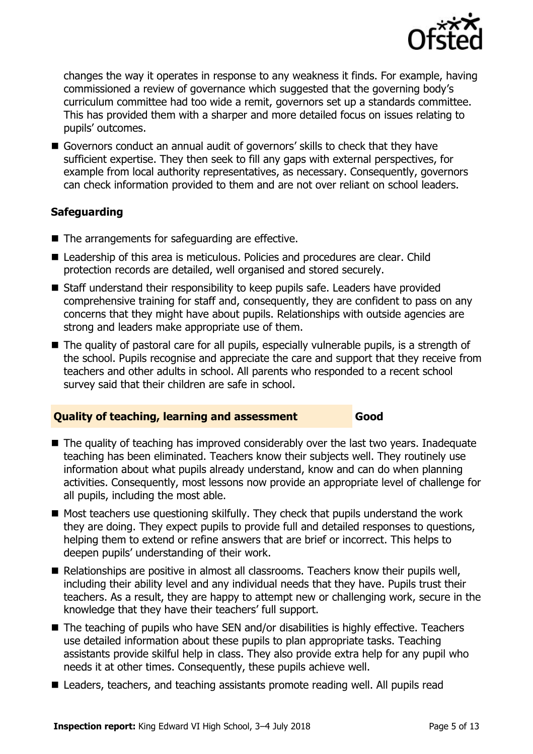

changes the way it operates in response to any weakness it finds. For example, having commissioned a review of governance which suggested that the governing body's curriculum committee had too wide a remit, governors set up a standards committee. This has provided them with a sharper and more detailed focus on issues relating to pupils' outcomes.

■ Governors conduct an annual audit of governors' skills to check that they have sufficient expertise. They then seek to fill any gaps with external perspectives, for example from local authority representatives, as necessary. Consequently, governors can check information provided to them and are not over reliant on school leaders.

### **Safeguarding**

- The arrangements for safeguarding are effective.
- Leadership of this area is meticulous. Policies and procedures are clear. Child protection records are detailed, well organised and stored securely.
- Staff understand their responsibility to keep pupils safe. Leaders have provided comprehensive training for staff and, consequently, they are confident to pass on any concerns that they might have about pupils. Relationships with outside agencies are strong and leaders make appropriate use of them.
- The quality of pastoral care for all pupils, especially vulnerable pupils, is a strength of the school. Pupils recognise and appreciate the care and support that they receive from teachers and other adults in school. All parents who responded to a recent school survey said that their children are safe in school.

#### **Quality of teaching, learning and assessment Good**

- The quality of teaching has improved considerably over the last two years. Inadequate teaching has been eliminated. Teachers know their subjects well. They routinely use information about what pupils already understand, know and can do when planning activities. Consequently, most lessons now provide an appropriate level of challenge for all pupils, including the most able.
- $\blacksquare$  Most teachers use questioning skilfully. They check that pupils understand the work they are doing. They expect pupils to provide full and detailed responses to questions, helping them to extend or refine answers that are brief or incorrect. This helps to deepen pupils' understanding of their work.
- Relationships are positive in almost all classrooms. Teachers know their pupils well, including their ability level and any individual needs that they have. Pupils trust their teachers. As a result, they are happy to attempt new or challenging work, secure in the knowledge that they have their teachers' full support.
- The teaching of pupils who have SEN and/or disabilities is highly effective. Teachers use detailed information about these pupils to plan appropriate tasks. Teaching assistants provide skilful help in class. They also provide extra help for any pupil who needs it at other times. Consequently, these pupils achieve well.
- Leaders, teachers, and teaching assistants promote reading well. All pupils read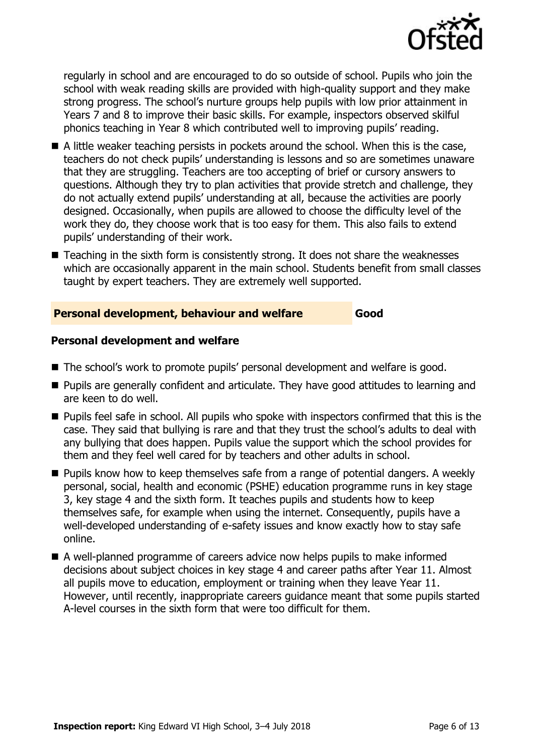

regularly in school and are encouraged to do so outside of school. Pupils who join the school with weak reading skills are provided with high-quality support and they make strong progress. The school's nurture groups help pupils with low prior attainment in Years 7 and 8 to improve their basic skills. For example, inspectors observed skilful phonics teaching in Year 8 which contributed well to improving pupils' reading.

- A little weaker teaching persists in pockets around the school. When this is the case, teachers do not check pupils' understanding is lessons and so are sometimes unaware that they are struggling. Teachers are too accepting of brief or cursory answers to questions. Although they try to plan activities that provide stretch and challenge, they do not actually extend pupils' understanding at all, because the activities are poorly designed. Occasionally, when pupils are allowed to choose the difficulty level of the work they do, they choose work that is too easy for them. This also fails to extend pupils' understanding of their work.
- $\blacksquare$  Teaching in the sixth form is consistently strong. It does not share the weaknesses which are occasionally apparent in the main school. Students benefit from small classes taught by expert teachers. They are extremely well supported.

#### **Personal development, behaviour and welfare Good**

#### **Personal development and welfare**

- The school's work to promote pupils' personal development and welfare is good.
- Pupils are generally confident and articulate. They have good attitudes to learning and are keen to do well.
- **Pupils feel safe in school. All pupils who spoke with inspectors confirmed that this is the** case. They said that bullying is rare and that they trust the school's adults to deal with any bullying that does happen. Pupils value the support which the school provides for them and they feel well cared for by teachers and other adults in school.
- **Pupils know how to keep themselves safe from a range of potential dangers. A weekly** personal, social, health and economic (PSHE) education programme runs in key stage 3, key stage 4 and the sixth form. It teaches pupils and students how to keep themselves safe, for example when using the internet. Consequently, pupils have a well-developed understanding of e-safety issues and know exactly how to stay safe online.
- A well-planned programme of careers advice now helps pupils to make informed decisions about subject choices in key stage 4 and career paths after Year 11. Almost all pupils move to education, employment or training when they leave Year 11. However, until recently, inappropriate careers guidance meant that some pupils started A-level courses in the sixth form that were too difficult for them.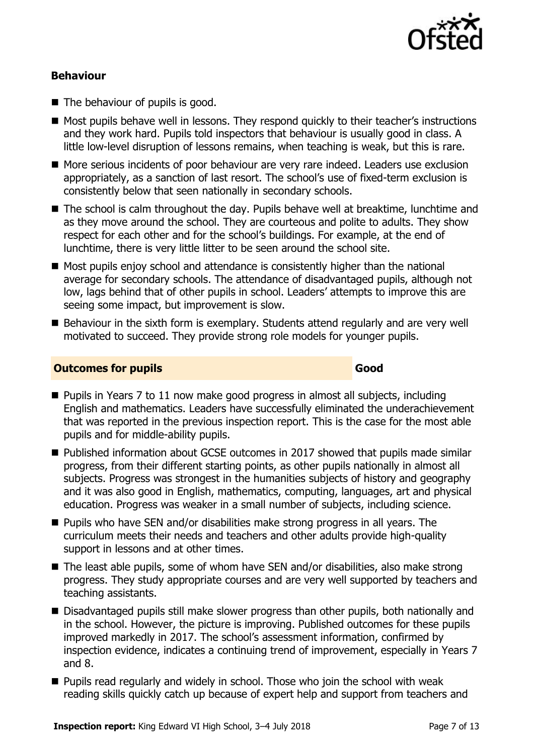

#### **Behaviour**

- The behaviour of pupils is good.
- Most pupils behave well in lessons. They respond quickly to their teacher's instructions and they work hard. Pupils told inspectors that behaviour is usually good in class. A little low-level disruption of lessons remains, when teaching is weak, but this is rare.
- More serious incidents of poor behaviour are very rare indeed. Leaders use exclusion appropriately, as a sanction of last resort. The school's use of fixed-term exclusion is consistently below that seen nationally in secondary schools.
- The school is calm throughout the day. Pupils behave well at breaktime, lunchtime and as they move around the school. They are courteous and polite to adults. They show respect for each other and for the school's buildings. For example, at the end of lunchtime, there is very little litter to be seen around the school site.
- Most pupils enjoy school and attendance is consistently higher than the national average for secondary schools. The attendance of disadvantaged pupils, although not low, lags behind that of other pupils in school. Leaders' attempts to improve this are seeing some impact, but improvement is slow.
- Behaviour in the sixth form is exemplary. Students attend regularly and are very well motivated to succeed. They provide strong role models for younger pupils.

#### **Outcomes for pupils Good**

- $\blacksquare$  Pupils in Years 7 to 11 now make good progress in almost all subjects, including English and mathematics. Leaders have successfully eliminated the underachievement that was reported in the previous inspection report. This is the case for the most able pupils and for middle-ability pupils.
- Published information about GCSE outcomes in 2017 showed that pupils made similar progress, from their different starting points, as other pupils nationally in almost all subjects. Progress was strongest in the humanities subjects of history and geography and it was also good in English, mathematics, computing, languages, art and physical education. Progress was weaker in a small number of subjects, including science.
- **Pupils who have SEN and/or disabilities make strong progress in all years. The** curriculum meets their needs and teachers and other adults provide high-quality support in lessons and at other times.
- The least able pupils, some of whom have SEN and/or disabilities, also make strong progress. They study appropriate courses and are very well supported by teachers and teaching assistants.
- Disadvantaged pupils still make slower progress than other pupils, both nationally and in the school. However, the picture is improving. Published outcomes for these pupils improved markedly in 2017. The school's assessment information, confirmed by inspection evidence, indicates a continuing trend of improvement, especially in Years 7 and 8.
- **Pupils read regularly and widely in school. Those who join the school with weak** reading skills quickly catch up because of expert help and support from teachers and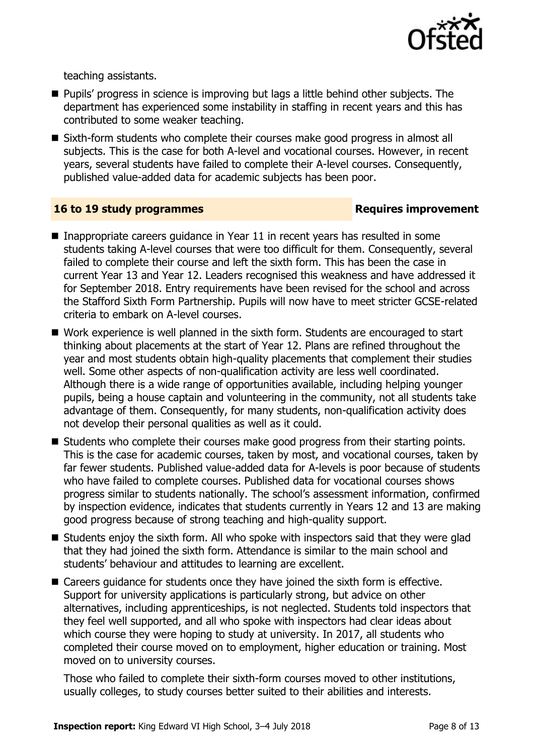

teaching assistants.

- **Pupils'** progress in science is improving but lags a little behind other subjects. The department has experienced some instability in staffing in recent years and this has contributed to some weaker teaching.
- Sixth-form students who complete their courses make good progress in almost all subjects. This is the case for both A-level and vocational courses. However, in recent years, several students have failed to complete their A-level courses. Consequently, published value-added data for academic subjects has been poor.

#### **16 to 19 study programmes Requires improvement**

- Inappropriate careers quidance in Year 11 in recent years has resulted in some students taking A-level courses that were too difficult for them. Consequently, several failed to complete their course and left the sixth form. This has been the case in current Year 13 and Year 12. Leaders recognised this weakness and have addressed it for September 2018. Entry requirements have been revised for the school and across the Stafford Sixth Form Partnership. Pupils will now have to meet stricter GCSE-related criteria to embark on A-level courses.
- Work experience is well planned in the sixth form. Students are encouraged to start thinking about placements at the start of Year 12. Plans are refined throughout the year and most students obtain high-quality placements that complement their studies well. Some other aspects of non-qualification activity are less well coordinated. Although there is a wide range of opportunities available, including helping younger pupils, being a house captain and volunteering in the community, not all students take advantage of them. Consequently, for many students, non-qualification activity does not develop their personal qualities as well as it could.
- Students who complete their courses make good progress from their starting points. This is the case for academic courses, taken by most, and vocational courses, taken by far fewer students. Published value-added data for A-levels is poor because of students who have failed to complete courses. Published data for vocational courses shows progress similar to students nationally. The school's assessment information, confirmed by inspection evidence, indicates that students currently in Years 12 and 13 are making good progress because of strong teaching and high-quality support.
- $\blacksquare$  Students enjoy the sixth form. All who spoke with inspectors said that they were glad that they had joined the sixth form. Attendance is similar to the main school and students' behaviour and attitudes to learning are excellent.
- Careers guidance for students once they have joined the sixth form is effective. Support for university applications is particularly strong, but advice on other alternatives, including apprenticeships, is not neglected. Students told inspectors that they feel well supported, and all who spoke with inspectors had clear ideas about which course they were hoping to study at university. In 2017, all students who completed their course moved on to employment, higher education or training. Most moved on to university courses.

Those who failed to complete their sixth-form courses moved to other institutions, usually colleges, to study courses better suited to their abilities and interests.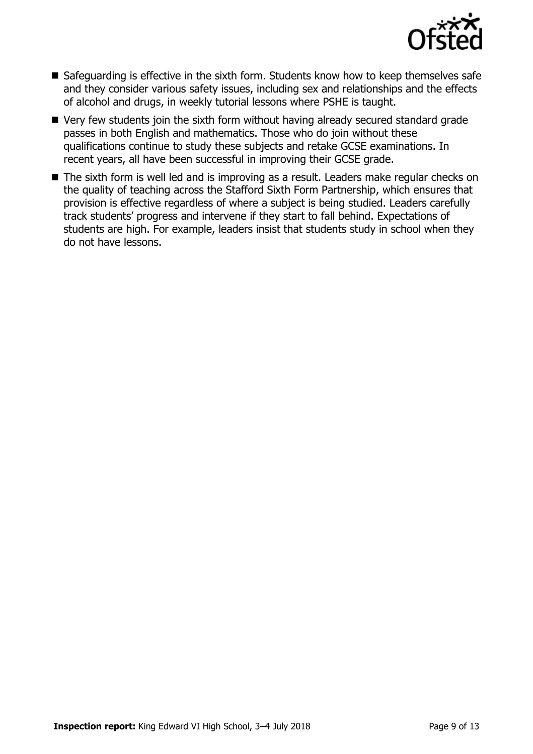

- Safeguarding is effective in the sixth form. Students know how to keep themselves safe and they consider various safety issues, including sex and relationships and the effects of alcohol and drugs, in weekly tutorial lessons where PSHE is taught.
- Very few students join the sixth form without having already secured standard grade passes in both English and mathematics. Those who do join without these qualifications continue to study these subjects and retake GCSE examinations. In recent years, all have been successful in improving their GCSE grade.
- The sixth form is well led and is improving as a result. Leaders make regular checks on the quality of teaching across the Stafford Sixth Form Partnership, which ensures that provision is effective regardless of where a subject is being studied. Leaders carefully track students' progress and intervene if they start to fall behind. Expectations of students are high. For example, leaders insist that students study in school when they do not have lessons.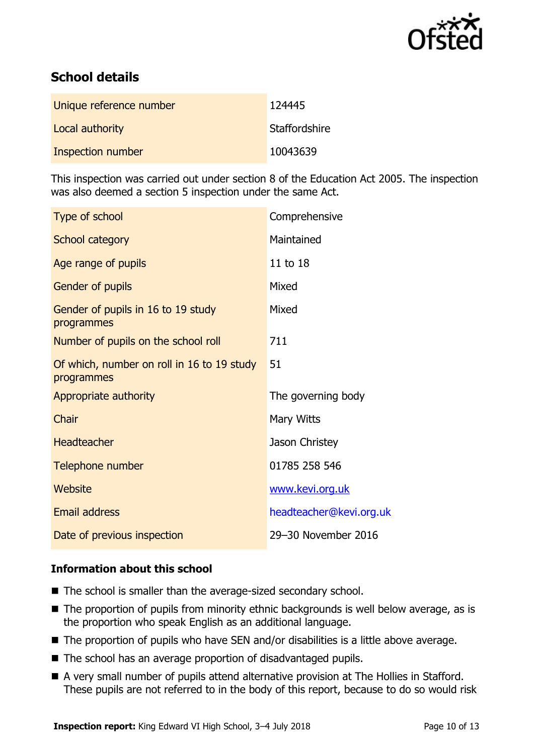

# **School details**

| Unique reference number | 124445        |
|-------------------------|---------------|
| Local authority         | Staffordshire |
| Inspection number       | 10043639      |

This inspection was carried out under section 8 of the Education Act 2005. The inspection was also deemed a section 5 inspection under the same Act.

| Type of school                                           | Comprehensive           |
|----------------------------------------------------------|-------------------------|
| School category                                          | Maintained              |
| Age range of pupils                                      | 11 to 18                |
| Gender of pupils                                         | Mixed                   |
| Gender of pupils in 16 to 19 study<br>programmes         | Mixed                   |
| Number of pupils on the school roll                      | 711                     |
| Of which, number on roll in 16 to 19 study<br>programmes | 51                      |
| Appropriate authority                                    | The governing body      |
| Chair                                                    | Mary Witts              |
| <b>Headteacher</b>                                       | Jason Christey          |
| Telephone number                                         | 01785 258 546           |
| Website                                                  | www.kevi.org.uk         |
| Email address                                            | headteacher@kevi.org.uk |
| Date of previous inspection                              | 29-30 November 2016     |

#### **Information about this school**

- The school is smaller than the average-sized secondary school.
- The proportion of pupils from minority ethnic backgrounds is well below average, as is the proportion who speak English as an additional language.
- The proportion of pupils who have SEN and/or disabilities is a little above average.
- The school has an average proportion of disadvantaged pupils.
- A very small number of pupils attend alternative provision at The Hollies in Stafford. These pupils are not referred to in the body of this report, because to do so would risk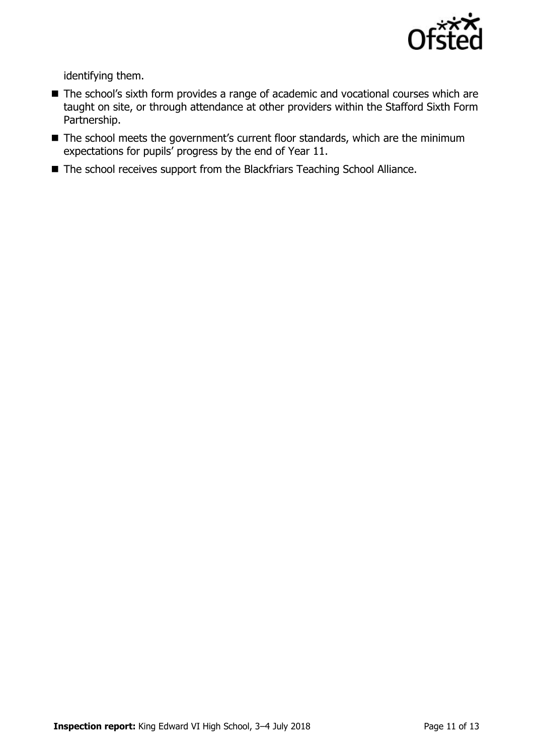

identifying them.

- The school's sixth form provides a range of academic and vocational courses which are taught on site, or through attendance at other providers within the Stafford Sixth Form Partnership.
- The school meets the government's current floor standards, which are the minimum expectations for pupils' progress by the end of Year 11.
- The school receives support from the Blackfriars Teaching School Alliance.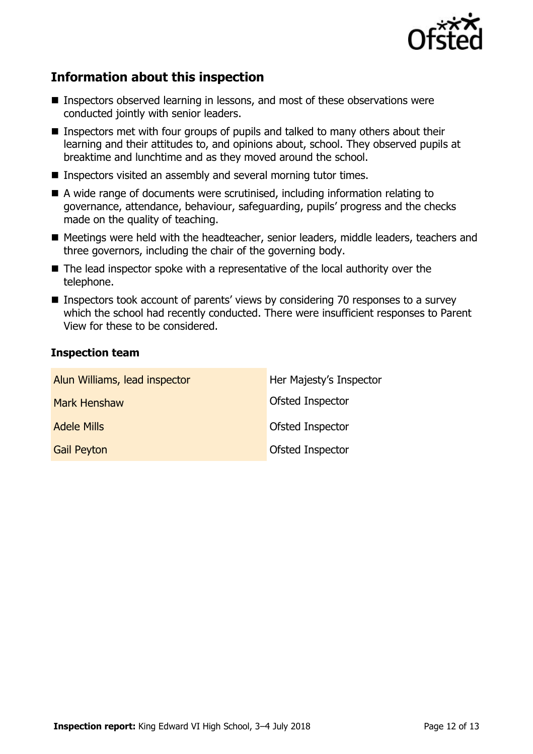

# **Information about this inspection**

- Inspectors observed learning in lessons, and most of these observations were conducted jointly with senior leaders.
- **Inspectors met with four groups of pupils and talked to many others about their** learning and their attitudes to, and opinions about, school. They observed pupils at breaktime and lunchtime and as they moved around the school.
- Inspectors visited an assembly and several morning tutor times.
- A wide range of documents were scrutinised, including information relating to governance, attendance, behaviour, safeguarding, pupils' progress and the checks made on the quality of teaching.
- Meetings were held with the headteacher, senior leaders, middle leaders, teachers and three governors, including the chair of the governing body.
- The lead inspector spoke with a representative of the local authority over the telephone.
- Inspectors took account of parents' views by considering 70 responses to a survey which the school had recently conducted. There were insufficient responses to Parent View for these to be considered.

#### **Inspection team**

| Alun Williams, lead inspector | Her Majesty's Inspector |
|-------------------------------|-------------------------|
| <b>Mark Henshaw</b>           | Ofsted Inspector        |
| <b>Adele Mills</b>            | Ofsted Inspector        |
| <b>Gail Peyton</b>            | Ofsted Inspector        |